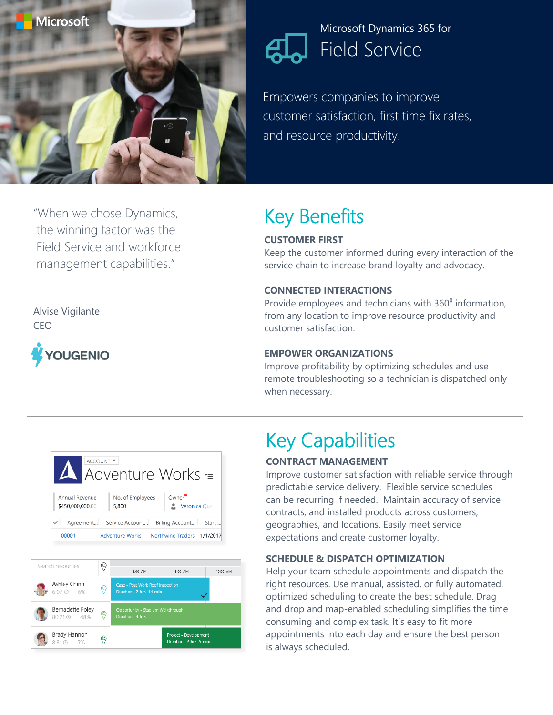

### Microsoft Dynamics 365 for Field Service

Empowers companies to improve customer satisfaction, first time fix rates, and resource productivity.

# Key Benefits

### **CUSTOMER FIRST**

Keep the customer informed during every interaction of the service chain to increase brand loyalty and advocacy.

#### **CONNECTED INTERACTIONS**

Provide employees and technicians with 360<sup>°</sup> information, from any location to improve resource productivity and customer satisfaction.

#### **EMPOWER ORGANIZATIONS**

Improve profitability by optimizing schedules and use remote troubleshooting so a technician is dispatched only when necessary.





# Key Capabilities

#### **CONTRACT MANAGEMENT**

Improve customer satisfaction with reliable service through predictable service delivery. Flexible service schedules can be recurring if needed. Maintain accuracy of service contracts, and installed products across customers, geographies, and locations. Easily meet service expectations and create customer loyalty.

#### **SCHEDULE & DISPATCH OPTIMIZATION**

Help your team schedule appointments and dispatch the right resources. Use manual, assisted, or fully automated, optimized scheduling to create the best schedule. Drag and drop and map-enabled scheduling simplifies the time consuming and complex task. It's easy to fit more appointments into each day and ensure the best person is always scheduled.

"When we chose Dynamics, the winning factor was the Field Service and workforce management capabilities."

Alvise Vigilante CEO